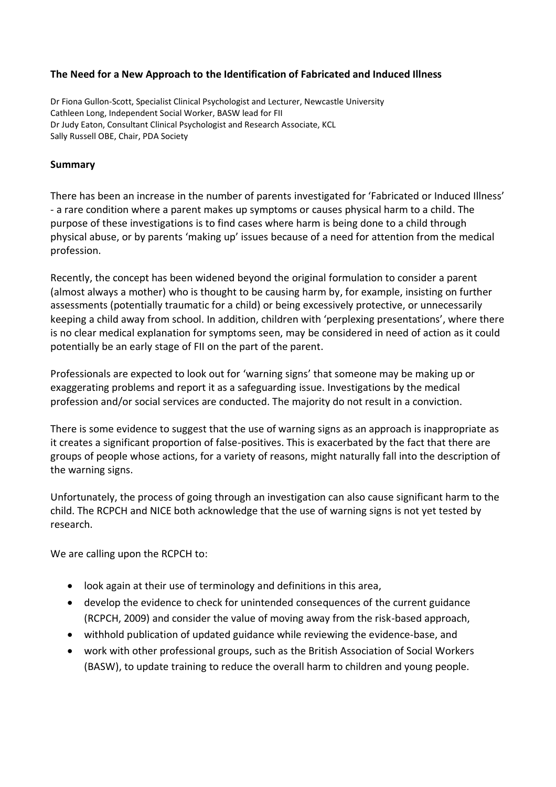# **The Need for a New Approach to the Identification of Fabricated and Induced Illness**

Dr Fiona Gullon-Scott, Specialist Clinical Psychologist and Lecturer, Newcastle University Cathleen Long, Independent Social Worker, BASW lead for FII Dr Judy Eaton, Consultant Clinical Psychologist and Research Associate, KCL Sally Russell OBE, Chair, PDA Society

#### **Summary**

There has been an increase in the number of parents investigated for 'Fabricated or Induced Illness' - a rare condition where a parent makes up symptoms or causes physical harm to a child. The purpose of these investigations is to find cases where harm is being done to a child through physical abuse, or by parents 'making up' issues because of a need for attention from the medical profession.

Recently, the concept has been widened beyond the original formulation to consider a parent (almost always a mother) who is thought to be causing harm by, for example, insisting on further assessments (potentially traumatic for a child) or being excessively protective, or unnecessarily keeping a child away from school. In addition, children with 'perplexing presentations', where there is no clear medical explanation for symptoms seen, may be considered in need of action as it could potentially be an early stage of FII on the part of the parent.

Professionals are expected to look out for 'warning signs' that someone may be making up or exaggerating problems and report it as a safeguarding issue. Investigations by the medical profession and/or social services are conducted. The majority do not result in a conviction.

There is some evidence to suggest that the use of warning signs as an approach is inappropriate as it creates a significant proportion of false-positives. This is exacerbated by the fact that there are groups of people whose actions, for a variety of reasons, might naturally fall into the description of the warning signs.

Unfortunately, the process of going through an investigation can also cause significant harm to the child. The RCPCH and NICE both acknowledge that the use of warning signs is not yet tested by research.

We are calling upon the RCPCH to:

- look again at their use of terminology and definitions in this area,
- develop the evidence to check for unintended consequences of the current guidance (RCPCH, 2009) and consider the value of moving away from the risk-based approach,
- withhold publication of updated guidance while reviewing the evidence-base, and
- work with other professional groups, such as the British Association of Social Workers (BASW), to update training to reduce the overall harm to children and young people.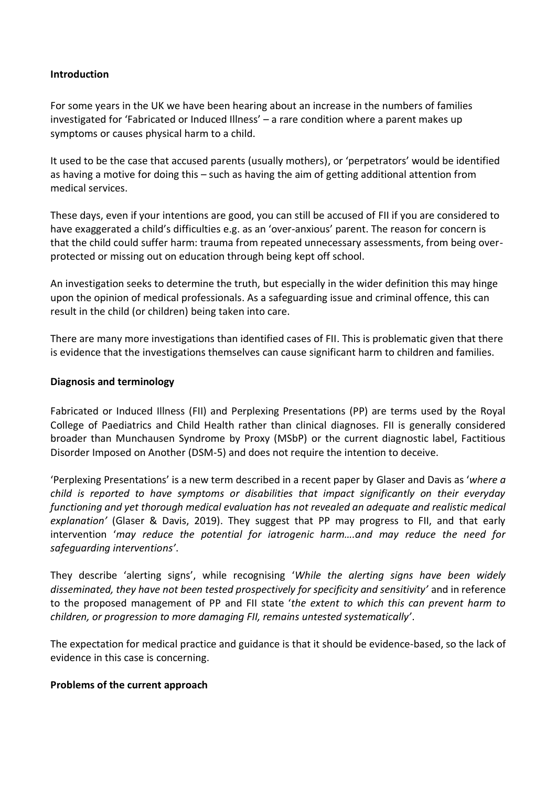#### **Introduction**

For some years in the UK we have been hearing about an increase in the numbers of families investigated for 'Fabricated or Induced Illness' – a rare condition where a parent makes up symptoms or causes physical harm to a child.

It used to be the case that accused parents (usually mothers), or 'perpetrators' would be identified as having a motive for doing this – such as having the aim of getting additional attention from medical services.

These days, even if your intentions are good, you can still be accused of FII if you are considered to have exaggerated a child's difficulties e.g. as an 'over-anxious' parent. The reason for concern is that the child could suffer harm: trauma from repeated unnecessary assessments, from being overprotected or missing out on education through being kept off school.

An investigation seeks to determine the truth, but especially in the wider definition this may hinge upon the opinion of medical professionals. As a safeguarding issue and criminal offence, this can result in the child (or children) being taken into care.

There are many more investigations than identified cases of FII. This is problematic given that there is evidence that the investigations themselves can cause significant harm to children and families.

#### **Diagnosis and terminology**

Fabricated or Induced Illness (FII) and Perplexing Presentations (PP) are terms used by the Royal College of Paediatrics and Child Health rather than clinical diagnoses. FII is generally considered broader than Munchausen Syndrome by Proxy (MSbP) or the current diagnostic label, Factitious Disorder Imposed on Another (DSM-5) and does not require the intention to deceive.

'Perplexing Presentations' is a new term described in a recent paper by Glaser and Davis as '*where a child is reported to have symptoms or disabilities that impact significantly on their everyday functioning and yet thorough medical evaluation has not revealed an adequate and realistic medical explanation'* (Glaser & Davis, 2019). They suggest that PP may progress to FII, and that early intervention '*may reduce the potential for iatrogenic harm….and may reduce the need for safeguarding interventions'*.

They describe 'alerting signs', while recognising '*While the alerting signs have been widely disseminated, they have not been tested prospectively for specificity and sensitivity'* and in reference to the proposed management of PP and FII state '*the extent to which this can prevent harm to children, or progression to more damaging FII, remains untested systematically'*.

The expectation for medical practice and guidance is that it should be evidence-based, so the lack of evidence in this case is concerning.

#### **Problems of the current approach**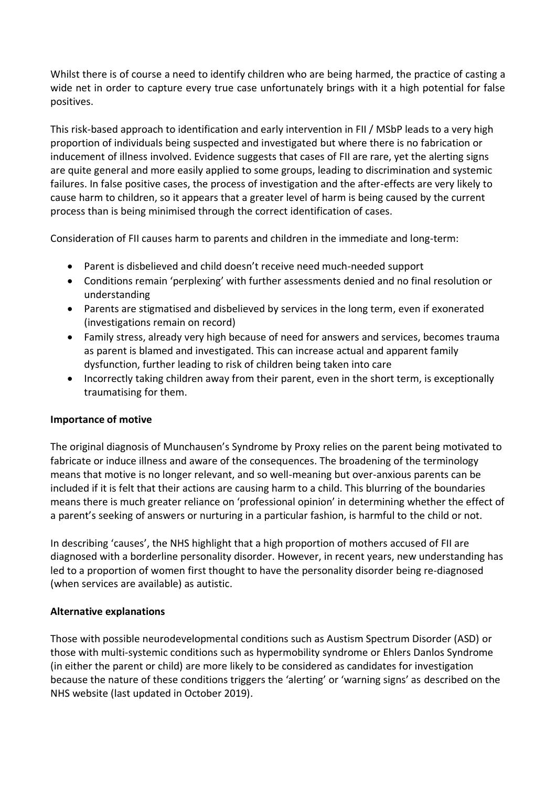Whilst there is of course a need to identify children who are being harmed, the practice of casting a wide net in order to capture every true case unfortunately brings with it a high potential for false positives.

This risk-based approach to identification and early intervention in FII / MSbP leads to a very high proportion of individuals being suspected and investigated but where there is no fabrication or inducement of illness involved. Evidence suggests that cases of FII are rare, yet the alerting signs are quite general and more easily applied to some groups, leading to discrimination and systemic failures. In false positive cases, the process of investigation and the after-effects are very likely to cause harm to children, so it appears that a greater level of harm is being caused by the current process than is being minimised through the correct identification of cases.

Consideration of FII causes harm to parents and children in the immediate and long-term:

- Parent is disbelieved and child doesn't receive need much-needed support
- Conditions remain 'perplexing' with further assessments denied and no final resolution or understanding
- Parents are stigmatised and disbelieved by services in the long term, even if exonerated (investigations remain on record)
- Family stress, already very high because of need for answers and services, becomes trauma as parent is blamed and investigated. This can increase actual and apparent family dysfunction, further leading to risk of children being taken into care
- Incorrectly taking children away from their parent, even in the short term, is exceptionally traumatising for them.

# **Importance of motive**

The original diagnosis of Munchausen's Syndrome by Proxy relies on the parent being motivated to fabricate or induce illness and aware of the consequences. The broadening of the terminology means that motive is no longer relevant, and so well-meaning but over-anxious parents can be included if it is felt that their actions are causing harm to a child. This blurring of the boundaries means there is much greater reliance on 'professional opinion' in determining whether the effect of a parent's seeking of answers or nurturing in a particular fashion, is harmful to the child or not.

In describing 'causes', the NHS highlight that a high proportion of mothers accused of FII are diagnosed with a borderline personality disorder. However, in recent years, new understanding has led to a proportion of women first thought to have the personality disorder being re-diagnosed (when services are available) as autistic.

#### **Alternative explanations**

Those with possible neurodevelopmental conditions such as Austism Spectrum Disorder (ASD) or those with multi-systemic conditions such as hypermobility syndrome or Ehlers Danlos Syndrome (in either the parent or child) are more likely to be considered as candidates for investigation because the nature of these conditions triggers the 'alerting' or 'warning signs' as described on the NHS website (last updated in October 2019).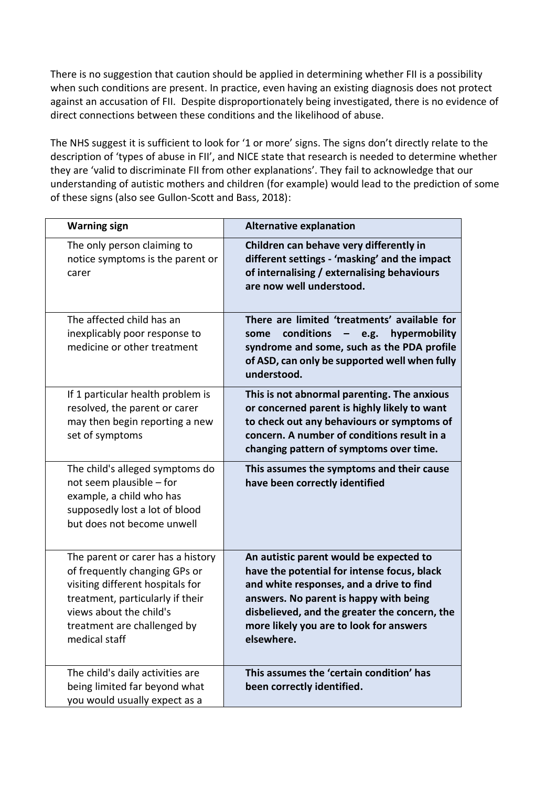There is no suggestion that caution should be applied in determining whether FII is a possibility when such conditions are present. In practice, even having an existing diagnosis does not protect against an accusation of FII. Despite disproportionately being investigated, there is no evidence of direct connections between these conditions and the likelihood of abuse.

The NHS suggest it is sufficient to look for '1 or more' signs. The signs don't directly relate to the description of 'types of abuse in FII', and NICE state that research is needed to determine whether they are 'valid to discriminate FII from other explanations'. They fail to acknowledge that our understanding of autistic mothers and children (for example) would lead to the prediction of some of these signs (also see Gullon-Scott and Bass, 2018):

| <b>Warning sign</b>                                                                                                                                                                                                   | <b>Alternative explanation</b>                                                                                                                                                                                                                                                         |
|-----------------------------------------------------------------------------------------------------------------------------------------------------------------------------------------------------------------------|----------------------------------------------------------------------------------------------------------------------------------------------------------------------------------------------------------------------------------------------------------------------------------------|
| The only person claiming to<br>notice symptoms is the parent or<br>carer                                                                                                                                              | Children can behave very differently in<br>different settings - 'masking' and the impact<br>of internalising / externalising behaviours<br>are now well understood.                                                                                                                    |
| The affected child has an<br>inexplicably poor response to<br>medicine or other treatment                                                                                                                             | There are limited 'treatments' available for<br>conditions<br>e.g.<br>hypermobility<br>some<br>$\qquad \qquad -$<br>syndrome and some, such as the PDA profile<br>of ASD, can only be supported well when fully<br>understood.                                                         |
| If 1 particular health problem is<br>resolved, the parent or carer<br>may then begin reporting a new<br>set of symptoms                                                                                               | This is not abnormal parenting. The anxious<br>or concerned parent is highly likely to want<br>to check out any behaviours or symptoms of<br>concern. A number of conditions result in a<br>changing pattern of symptoms over time.                                                    |
| The child's alleged symptoms do<br>not seem plausible - for<br>example, a child who has<br>supposedly lost a lot of blood<br>but does not become unwell                                                               | This assumes the symptoms and their cause<br>have been correctly identified                                                                                                                                                                                                            |
| The parent or carer has a history<br>of frequently changing GPs or<br>visiting different hospitals for<br>treatment, particularly if their<br>views about the child's<br>treatment are challenged by<br>medical staff | An autistic parent would be expected to<br>have the potential for intense focus, black<br>and white responses, and a drive to find<br>answers. No parent is happy with being<br>disbelieved, and the greater the concern, the<br>more likely you are to look for answers<br>elsewhere. |
| The child's daily activities are<br>being limited far beyond what<br>you would usually expect as a                                                                                                                    | This assumes the 'certain condition' has<br>been correctly identified.                                                                                                                                                                                                                 |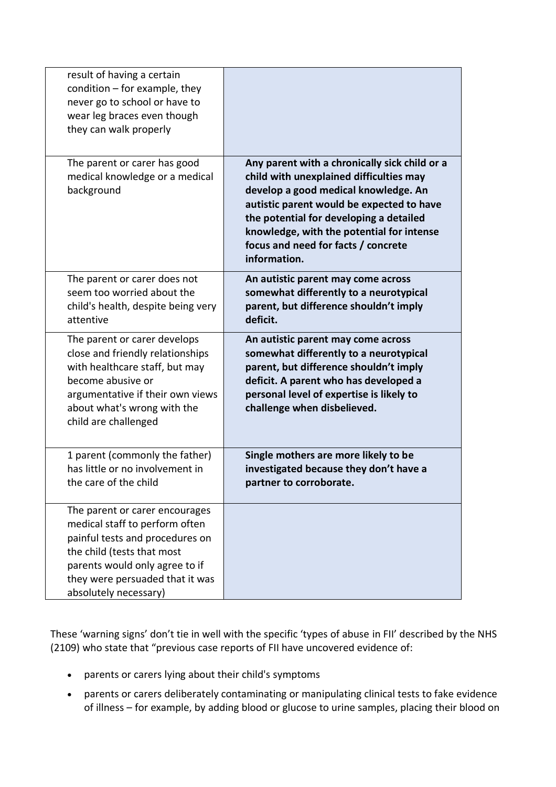| result of having a certain<br>condition $-$ for example, they<br>never go to school or have to<br>wear leg braces even though<br>they can walk properly                                                                         |                                                                                                                                                                                                                                                                                                                              |
|---------------------------------------------------------------------------------------------------------------------------------------------------------------------------------------------------------------------------------|------------------------------------------------------------------------------------------------------------------------------------------------------------------------------------------------------------------------------------------------------------------------------------------------------------------------------|
| The parent or carer has good<br>medical knowledge or a medical<br>background                                                                                                                                                    | Any parent with a chronically sick child or a<br>child with unexplained difficulties may<br>develop a good medical knowledge. An<br>autistic parent would be expected to have<br>the potential for developing a detailed<br>knowledge, with the potential for intense<br>focus and need for facts / concrete<br>information. |
| The parent or carer does not<br>seem too worried about the<br>child's health, despite being very<br>attentive                                                                                                                   | An autistic parent may come across<br>somewhat differently to a neurotypical<br>parent, but difference shouldn't imply<br>deficit.                                                                                                                                                                                           |
| The parent or carer develops<br>close and friendly relationships<br>with healthcare staff, but may<br>become abusive or<br>argumentative if their own views<br>about what's wrong with the<br>child are challenged              | An autistic parent may come across<br>somewhat differently to a neurotypical<br>parent, but difference shouldn't imply<br>deficit. A parent who has developed a<br>personal level of expertise is likely to<br>challenge when disbelieved.                                                                                   |
| 1 parent (commonly the father)<br>has little or no involvement in<br>the care of the child                                                                                                                                      | Single mothers are more likely to be<br>investigated because they don't have a<br>partner to corroborate.                                                                                                                                                                                                                    |
| The parent or carer encourages<br>medical staff to perform often<br>painful tests and procedures on<br>the child (tests that most<br>parents would only agree to if<br>they were persuaded that it was<br>absolutely necessary) |                                                                                                                                                                                                                                                                                                                              |

These 'warning signs' don't tie in well with the specific 'types of abuse in FII' described by the NHS (2109) who state that "previous case reports of FII have uncovered evidence of:

- parents or carers lying about their child's symptoms
- parents or carers deliberately contaminating or manipulating clinical tests to fake evidence of illness – for example, by adding blood or glucose to urine samples, placing their blood on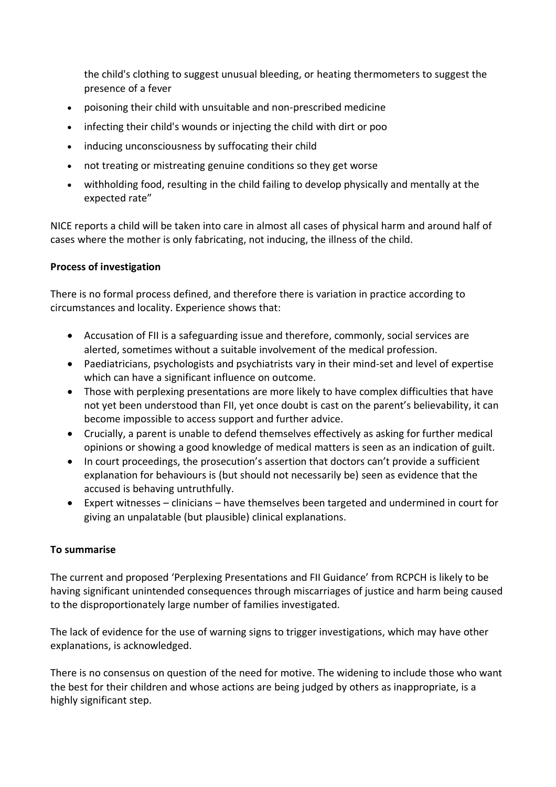the child's clothing to suggest unusual bleeding, or heating thermometers to suggest the presence of a fever

- poisoning their child with unsuitable and non-prescribed medicine
- infecting their child's wounds or injecting the child with dirt or poo
- inducing unconsciousness by suffocating their child
- not treating or mistreating genuine conditions so they get worse
- withholding food, resulting in the child failing to develop physically and mentally at the expected rate"

NICE reports a child will be taken into care in almost all cases of physical harm and around half of cases where the mother is only fabricating, not inducing, the illness of the child.

# **Process of investigation**

There is no formal process defined, and therefore there is variation in practice according to circumstances and locality. Experience shows that:

- Accusation of FII is a safeguarding issue and therefore, commonly, social services are alerted, sometimes without a suitable involvement of the medical profession.
- Paediatricians, psychologists and psychiatrists vary in their mind-set and level of expertise which can have a significant influence on outcome.
- Those with perplexing presentations are more likely to have complex difficulties that have not yet been understood than FII, yet once doubt is cast on the parent's believability, it can become impossible to access support and further advice.
- Crucially, a parent is unable to defend themselves effectively as asking for further medical opinions or showing a good knowledge of medical matters is seen as an indication of guilt.
- In court proceedings, the prosecution's assertion that doctors can't provide a sufficient explanation for behaviours is (but should not necessarily be) seen as evidence that the accused is behaving untruthfully.
- Expert witnesses clinicians have themselves been targeted and undermined in court for giving an unpalatable (but plausible) clinical explanations.

# **To summarise**

The current and proposed 'Perplexing Presentations and FII Guidance' from RCPCH is likely to be having significant unintended consequences through miscarriages of justice and harm being caused to the disproportionately large number of families investigated.

The lack of evidence for the use of warning signs to trigger investigations, which may have other explanations, is acknowledged.

There is no consensus on question of the need for motive. The widening to include those who want the best for their children and whose actions are being judged by others as inappropriate, is a highly significant step.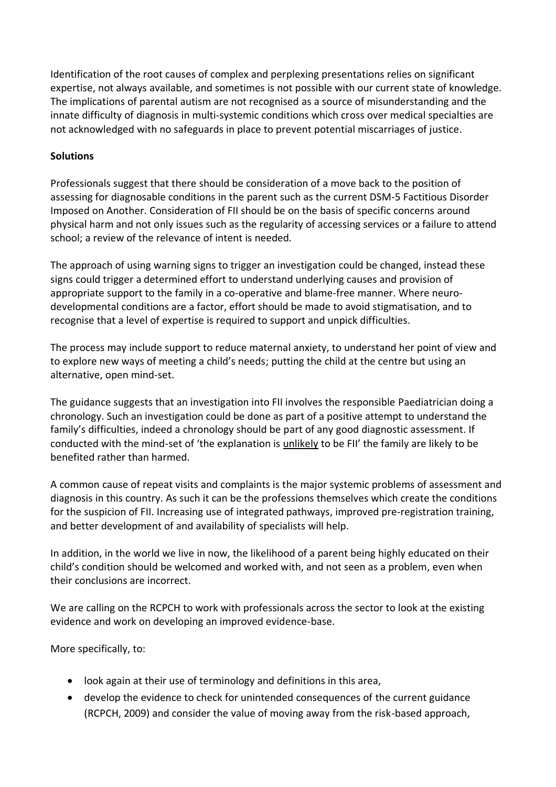Identification of the root causes of complex and perplexing presentations relies on significant expertise, not always available, and sometimes is not possible with our current state of knowledge. The implications of parental autism are not recognised as a source of misunderstanding and the innate difficulty of diagnosis in multi-systemic conditions which cross over medical specialties are not acknowledged with no safeguards in place to prevent potential miscarriages of justice.

# **Solutions**

Professionals suggest that there should be consideration of a move back to the position of assessing for diagnosable conditions in the parent such as the current DSM-5 Factitious Disorder Imposed on Another. Consideration of FII should be on the basis of specific concerns around physical harm and not only issues such as the regularity of accessing services or a failure to attend school; a review of the relevance of intent is needed.

The approach of using warning signs to trigger an investigation could be changed, instead these signs could trigger a determined effort to understand underlying causes and provision of appropriate support to the family in a co-operative and blame-free manner. Where neurodevelopmental conditions are a factor, effort should be made to avoid stigmatisation, and to recognise that a level of expertise is required to support and unpick difficulties.

The process may include support to reduce maternal anxiety, to understand her point of view and to explore new ways of meeting a child's needs; putting the child at the centre but using an alternative, open mind-set.

The guidance suggests that an investigation into FII involves the responsible Paediatrician doing a chronology. Such an investigation could be done as part of a positive attempt to understand the family's difficulties, indeed a chronology should be part of any good diagnostic assessment. If conducted with the mind-set of 'the explanation is unlikely to be FII' the family are likely to be benefited rather than harmed.

A common cause of repeat visits and complaints is the major systemic problems of assessment and diagnosis in this country. As such it can be the professions themselves which create the conditions for the suspicion of FII. Increasing use of integrated pathways, improved pre-registration training, and better development of and availability of specialists will help.

In addition, in the world we live in now, the likelihood of a parent being highly educated on their child's condition should be welcomed and worked with, and not seen as a problem, even when their conclusions are incorrect.

We are calling on the RCPCH to work with professionals across the sector to look at the existing evidence and work on developing an improved evidence-base.

More specifically, to:

- look again at their use of terminology and definitions in this area,
- develop the evidence to check for unintended consequences of the current guidance (RCPCH, 2009) and consider the value of moving away from the risk-based approach,